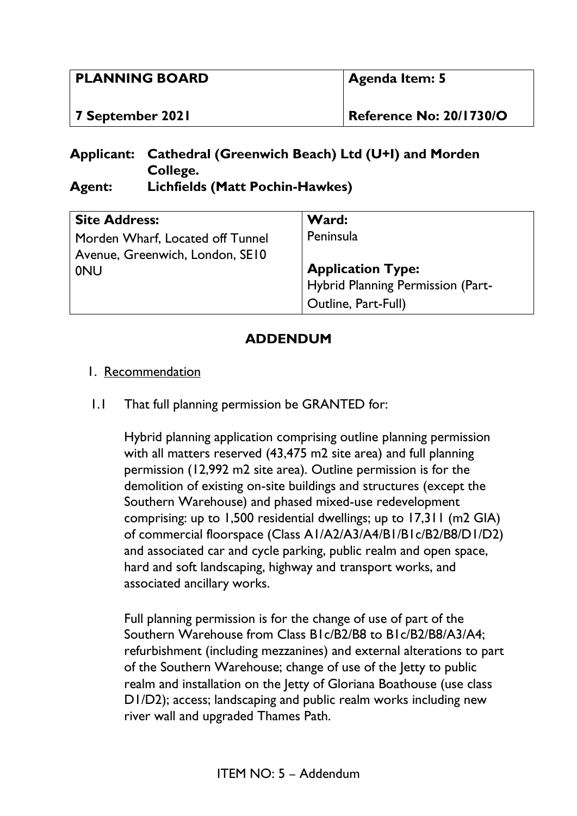| <b>PLANNING BOARD</b> | <b>Agenda Item: 5</b>          |
|-----------------------|--------------------------------|
| 7 September 2021      | <b>Reference No: 20/1730/O</b> |

## **Applicant: Cathedral (Greenwich Beach) Ltd (U+I) and Morden College. Agent: Lichfields (Matt Pochin-Hawkes)**

| <b>Site Address:</b>             | Ward:                             |
|----------------------------------|-----------------------------------|
| Morden Wharf, Located off Tunnel | Peninsula                         |
| Avenue, Greenwich, London, SE10  |                                   |
| <b>ONU</b>                       | <b>Application Type:</b>          |
|                                  | Hybrid Planning Permission (Part- |
|                                  | Outline, Part-Full)               |

## **ADDENDUM**

## 1. Recommendation

1.1 That full planning permission be GRANTED for:

Hybrid planning application comprising outline planning permission with all matters reserved (43,475 m2 site area) and full planning permission (12,992 m2 site area). Outline permission is for the demolition of existing on-site buildings and structures (except the Southern Warehouse) and phased mixed-use redevelopment comprising: up to 1,500 residential dwellings; up to 17,311 (m2 GIA) of commercial floorspace (Class A1/A2/A3/A4/B1/B1c/B2/B8/D1/D2) and associated car and cycle parking, public realm and open space, hard and soft landscaping, highway and transport works, and associated ancillary works.

Full planning permission is for the change of use of part of the Southern Warehouse from Class B1c/B2/B8 to B1c/B2/B8/A3/A4; refurbishment (including mezzanines) and external alterations to part of the Southern Warehouse; change of use of the Jetty to public realm and installation on the Jetty of Gloriana Boathouse (use class D1/D2); access; landscaping and public realm works including new river wall and upgraded Thames Path.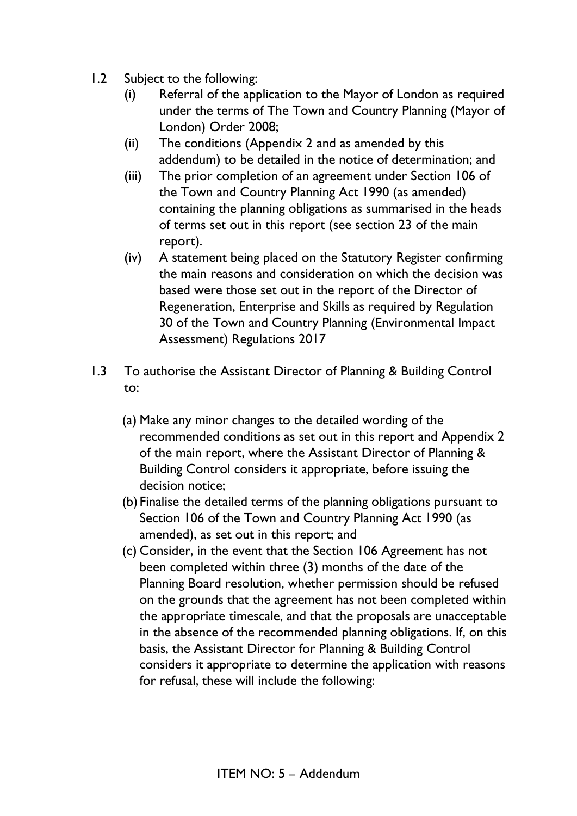- 1.2 Subject to the following:
	- (i) Referral of the application to the Mayor of London as required under the terms of The Town and Country Planning (Mayor of London) Order 2008;
	- (ii) The conditions (Appendix 2 and as amended by this addendum) to be detailed in the notice of determination; and
	- (iii) The prior completion of an agreement under Section 106 of the Town and Country Planning Act 1990 (as amended) containing the planning obligations as summarised in the heads of terms set out in this report (see section 23 of the main report).
	- (iv) A statement being placed on the Statutory Register confirming the main reasons and consideration on which the decision was based were those set out in the report of the Director of Regeneration, Enterprise and Skills as required by Regulation 30 of the Town and Country Planning (Environmental Impact Assessment) Regulations 2017
- 1.3 To authorise the Assistant Director of Planning & Building Control to:
	- (a) Make any minor changes to the detailed wording of the recommended conditions as set out in this report and Appendix 2 of the main report, where the Assistant Director of Planning & Building Control considers it appropriate, before issuing the decision notice;
	- (b) Finalise the detailed terms of the planning obligations pursuant to Section 106 of the Town and Country Planning Act 1990 (as amended), as set out in this report; and
	- (c) Consider, in the event that the Section 106 Agreement has not been completed within three (3) months of the date of the Planning Board resolution, whether permission should be refused on the grounds that the agreement has not been completed within the appropriate timescale, and that the proposals are unacceptable in the absence of the recommended planning obligations. If, on this basis, the Assistant Director for Planning & Building Control considers it appropriate to determine the application with reasons for refusal, these will include the following: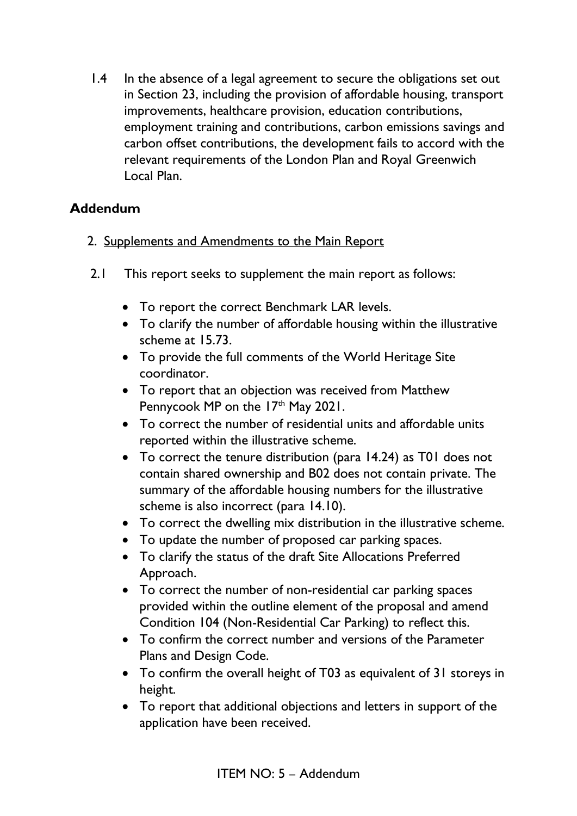1.4 In the absence of a legal agreement to secure the obligations set out in Section 23, including the provision of affordable housing, transport improvements, healthcare provision, education contributions, employment training and contributions, carbon emissions savings and carbon offset contributions, the development fails to accord with the relevant requirements of the London Plan and Royal Greenwich Local Plan.

## **Addendum**

- 2. Supplements and Amendments to the Main Report
- 2.1 This report seeks to supplement the main report as follows:
	- To report the correct Benchmark LAR levels.
	- To clarify the number of affordable housing within the illustrative scheme at 15.73.
	- To provide the full comments of the World Heritage Site coordinator.
	- To report that an objection was received from Matthew Pennycook MP on the  $17<sup>th</sup>$  May 2021.
	- To correct the number of residential units and affordable units reported within the illustrative scheme.
	- To correct the tenure distribution (para 14.24) as T01 does not contain shared ownership and B02 does not contain private. The summary of the affordable housing numbers for the illustrative scheme is also incorrect (para 14.10).
	- To correct the dwelling mix distribution in the illustrative scheme.
	- To update the number of proposed car parking spaces.
	- To clarify the status of the draft Site Allocations Preferred Approach.
	- To correct the number of non-residential car parking spaces provided within the outline element of the proposal and amend Condition 104 (Non-Residential Car Parking) to reflect this.
	- To confirm the correct number and versions of the Parameter Plans and Design Code.
	- To confirm the overall height of T03 as equivalent of 31 storeys in height.
	- To report that additional objections and letters in support of the application have been received.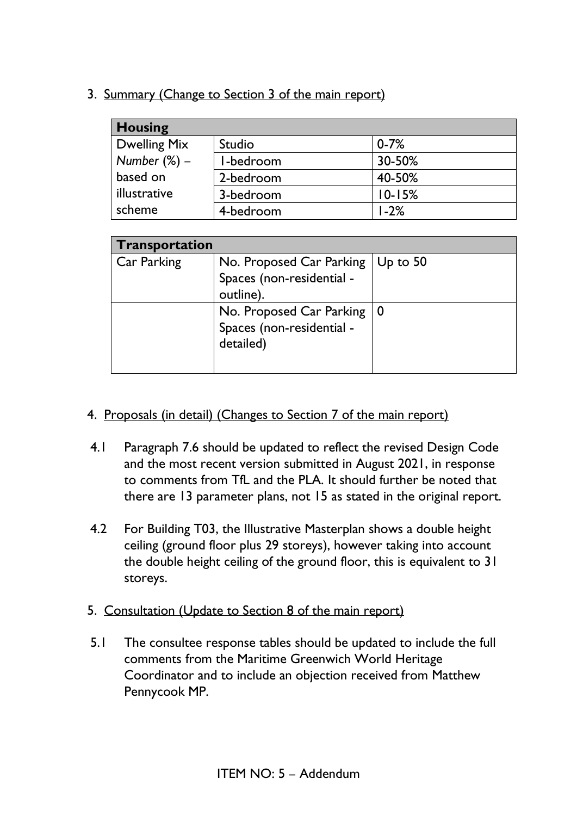3. Summary (Change to Section 3 of the main report)

| <b>Housing</b>  |           |            |
|-----------------|-----------|------------|
| Dwelling Mix    | Studio    | $0 - 7%$   |
| Number $(\%)$ – | I-bedroom | 30-50%     |
| based on        | 2-bedroom | 40-50%     |
| illustrative    | 3-bedroom | $10 - 15%$ |
| scheme          | 4-bedroom | $1 - 2%$   |

| <b>Transportation</b> |                                                                        |                  |
|-----------------------|------------------------------------------------------------------------|------------------|
| Car Parking           | No. Proposed Car Parking<br>Spaces (non-residential -<br>outline).     | $\vert$ Up to 50 |
|                       | No. Proposed Car Parking   0<br>Spaces (non-residential -<br>detailed) |                  |

- 4. Proposals (in detail) (Changes to Section 7 of the main report)
- 4.1 Paragraph 7.6 should be updated to reflect the revised Design Code and the most recent version submitted in August 2021, in response to comments from TfL and the PLA. It should further be noted that there are 13 parameter plans, not 15 as stated in the original report.
- 4.2 For Building T03, the Illustrative Masterplan shows a double height ceiling (ground floor plus 29 storeys), however taking into account the double height ceiling of the ground floor, this is equivalent to 31 storeys.
- 5. Consultation (Update to Section 8 of the main report)
- 5.1 The consultee response tables should be updated to include the full comments from the Maritime Greenwich World Heritage Coordinator and to include an objection received from Matthew Pennycook MP.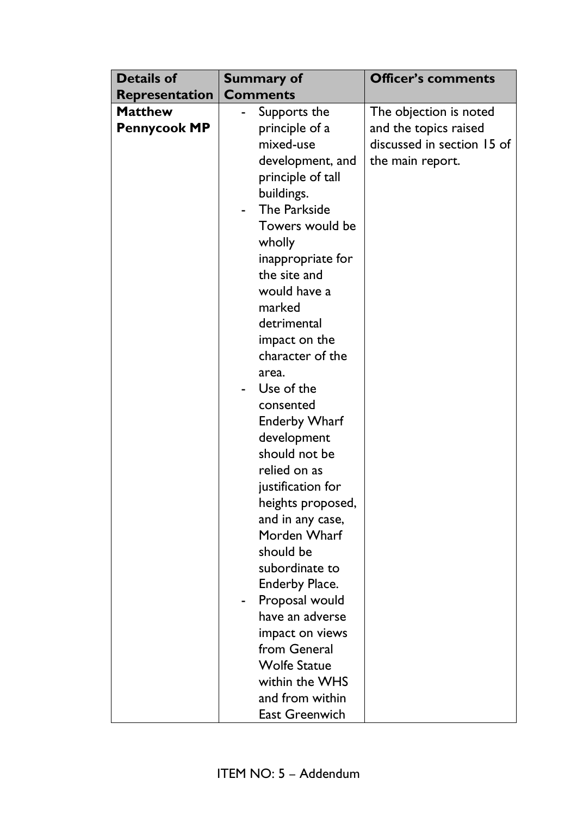| <b>Details of</b>     | <b>Summary of</b>     | <b>Officer's comments</b>  |
|-----------------------|-----------------------|----------------------------|
| <b>Representation</b> | <b>Comments</b>       |                            |
| <b>Matthew</b>        | Supports the          | The objection is noted     |
| <b>Pennycook MP</b>   | principle of a        | and the topics raised      |
|                       | mixed-use             | discussed in section 15 of |
|                       | development, and      | the main report.           |
|                       | principle of tall     |                            |
|                       | buildings.            |                            |
|                       | The Parkside          |                            |
|                       | Towers would be       |                            |
|                       | wholly                |                            |
|                       | inappropriate for     |                            |
|                       | the site and          |                            |
|                       | would have a          |                            |
|                       | marked                |                            |
|                       | detrimental           |                            |
|                       | impact on the         |                            |
|                       | character of the      |                            |
|                       | area.                 |                            |
|                       | Use of the            |                            |
|                       | consented             |                            |
|                       | <b>Enderby Wharf</b>  |                            |
|                       | development           |                            |
|                       | should not be         |                            |
|                       | relied on as          |                            |
|                       | justification for     |                            |
|                       | heights proposed,     |                            |
|                       | and in any case,      |                            |
|                       | Morden Wharf          |                            |
|                       | should be             |                            |
|                       | subordinate to        |                            |
|                       | <b>Enderby Place.</b> |                            |
|                       | Proposal would        |                            |
|                       | have an adverse       |                            |
|                       | impact on views       |                            |
|                       | from General          |                            |
|                       | <b>Wolfe Statue</b>   |                            |
|                       | within the WHS        |                            |
|                       | and from within       |                            |
|                       | <b>East Greenwich</b> |                            |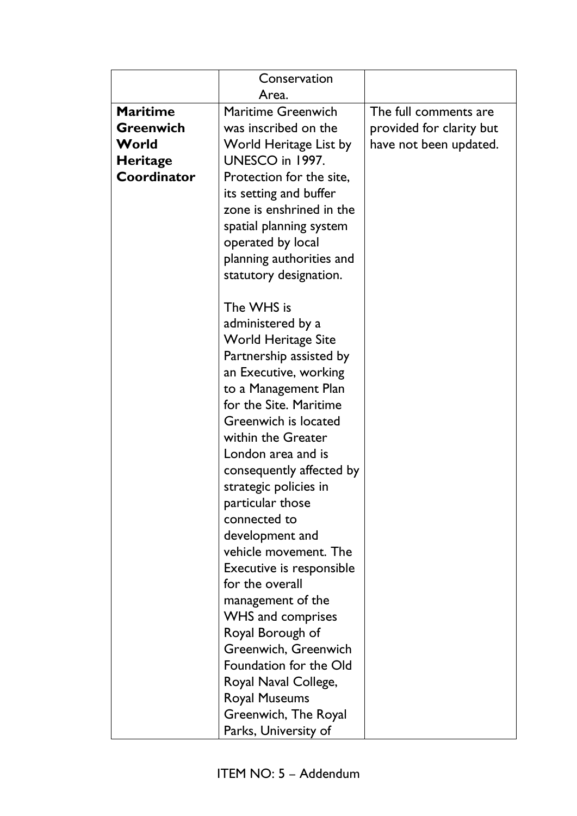|                  | Conservation                                          |                          |
|------------------|-------------------------------------------------------|--------------------------|
|                  | Area.                                                 |                          |
| <b>Maritime</b>  | <b>Maritime Greenwich</b>                             | The full comments are    |
| <b>Greenwich</b> | was inscribed on the                                  | provided for clarity but |
| World            | World Heritage List by                                | have not been updated.   |
| <b>Heritage</b>  | UNESCO in 1997.                                       |                          |
| Coordinator      | Protection for the site,                              |                          |
|                  | its setting and buffer                                |                          |
|                  | zone is enshrined in the                              |                          |
|                  | spatial planning system                               |                          |
|                  | operated by local                                     |                          |
|                  | planning authorities and                              |                          |
|                  | statutory designation.                                |                          |
|                  |                                                       |                          |
|                  | The WHS is                                            |                          |
|                  | administered by a                                     |                          |
|                  | <b>World Heritage Site</b><br>Partnership assisted by |                          |
|                  | an Executive, working                                 |                          |
|                  | to a Management Plan                                  |                          |
|                  | for the Site. Maritime                                |                          |
|                  | Greenwich is located                                  |                          |
|                  | within the Greater                                    |                          |
|                  | London area and is                                    |                          |
|                  | consequently affected by                              |                          |
|                  | strategic policies in                                 |                          |
|                  | particular those                                      |                          |
|                  | connected to                                          |                          |
|                  | development and                                       |                          |
|                  | vehicle movement. The                                 |                          |
|                  | Executive is responsible                              |                          |
|                  | for the overall                                       |                          |
|                  | management of the                                     |                          |
|                  | <b>WHS and comprises</b>                              |                          |
|                  | Royal Borough of                                      |                          |
|                  | Greenwich, Greenwich                                  |                          |
|                  | Foundation for the Old                                |                          |
|                  | Royal Naval College,                                  |                          |
|                  | <b>Royal Museums</b>                                  |                          |
|                  | Greenwich, The Royal                                  |                          |
|                  | Parks, University of                                  |                          |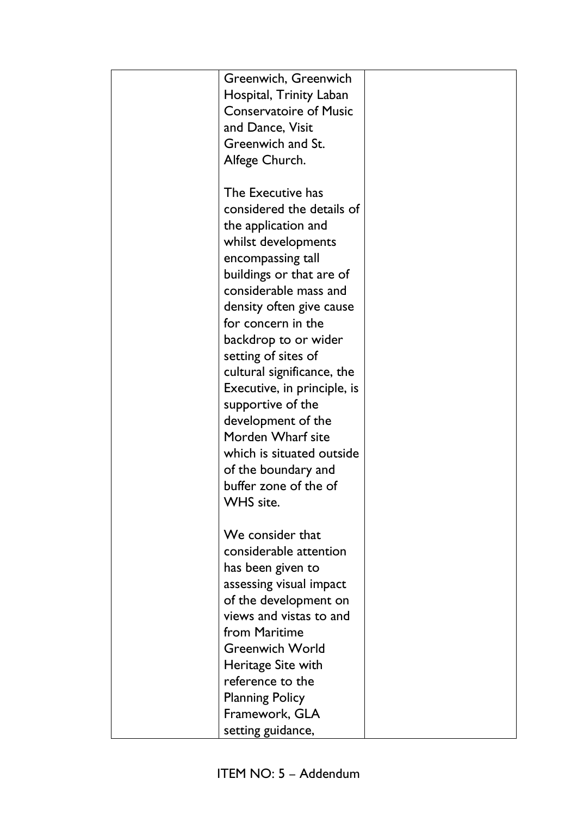| Greenwich, Greenwich          |  |
|-------------------------------|--|
| Hospital, Trinity Laban       |  |
| <b>Conservatoire of Music</b> |  |
| and Dance, Visit              |  |
| Greenwich and St.             |  |
| Alfege Church.                |  |
|                               |  |
| The Executive has             |  |
| considered the details of     |  |
| the application and           |  |
| whilst developments           |  |
| encompassing tall             |  |
| buildings or that are of      |  |
| considerable mass and         |  |
| density often give cause      |  |
| for concern in the            |  |
| backdrop to or wider          |  |
| setting of sites of           |  |
| cultural significance, the    |  |
| Executive, in principle, is   |  |
| supportive of the             |  |
| development of the            |  |
| Morden Wharf site             |  |
| which is situated outside     |  |
| of the boundary and           |  |
| buffer zone of the of         |  |
| <b>WHS</b> site.              |  |
|                               |  |
| We consider that              |  |
| considerable attention        |  |
| has been given to             |  |
| assessing visual impact       |  |
| of the development on         |  |
| views and vistas to and       |  |
| from Maritime                 |  |
| <b>Greenwich World</b>        |  |
| Heritage Site with            |  |
| reference to the              |  |
| <b>Planning Policy</b>        |  |
| Framework, GLA                |  |
| setting guidance,             |  |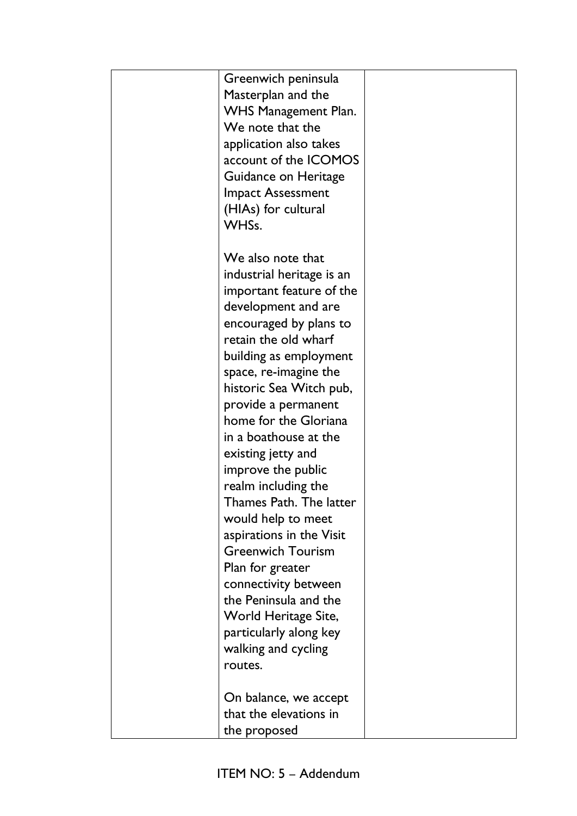| Greenwich peninsula<br>Masterplan and the<br><b>WHS Management Plan.</b><br>We note that the<br>application also takes<br>account of the ICOMOS<br>Guidance on Heritage<br><b>Impact Assessment</b><br>(HIAs) for cultural<br>WHSs.                                                                                                                                                                                                                                                                                                                                                                                                             |  |
|-------------------------------------------------------------------------------------------------------------------------------------------------------------------------------------------------------------------------------------------------------------------------------------------------------------------------------------------------------------------------------------------------------------------------------------------------------------------------------------------------------------------------------------------------------------------------------------------------------------------------------------------------|--|
| We also note that<br>industrial heritage is an<br>important feature of the<br>development and are<br>encouraged by plans to<br>retain the old wharf<br>building as employment<br>space, re-imagine the<br>historic Sea Witch pub,<br>provide a permanent<br>home for the Gloriana<br>in a boathouse at the<br>existing jetty and<br>improve the public<br>realm including the<br>Thames Path. The latter<br>would help to meet<br>aspirations in the Visit<br><b>Greenwich Tourism</b><br>Plan for greater<br>connectivity between<br>the Peninsula and the<br>World Heritage Site,<br>particularly along key<br>walking and cycling<br>routes. |  |
| On balance, we accept<br>that the elevations in<br>the proposed                                                                                                                                                                                                                                                                                                                                                                                                                                                                                                                                                                                 |  |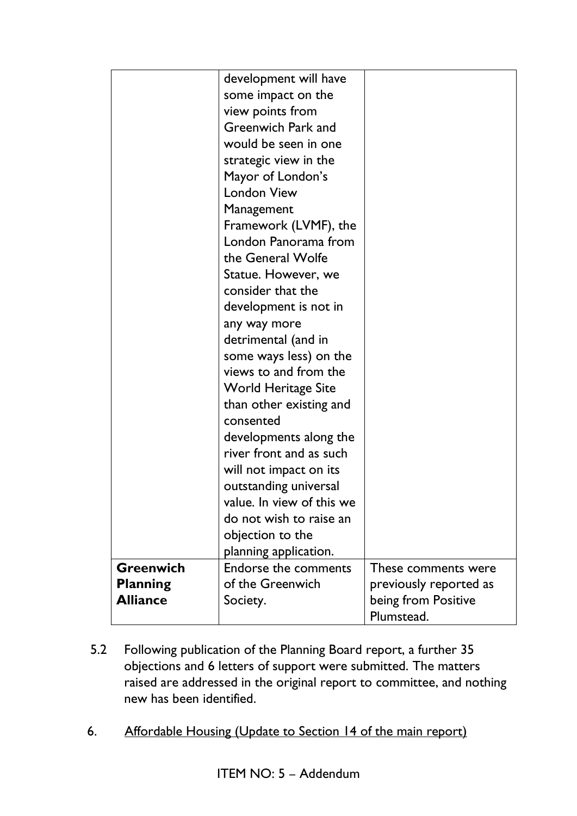|                  | development will have       |                        |
|------------------|-----------------------------|------------------------|
|                  | some impact on the          |                        |
|                  | view points from            |                        |
|                  | Greenwich Park and          |                        |
|                  | would be seen in one        |                        |
|                  | strategic view in the       |                        |
|                  | Mayor of London's           |                        |
|                  | <b>London View</b>          |                        |
|                  | Management                  |                        |
|                  | Framework (LVMF), the       |                        |
|                  | London Panorama from        |                        |
|                  | the General Wolfe           |                        |
|                  | Statue. However, we         |                        |
|                  | consider that the           |                        |
|                  | development is not in       |                        |
|                  | any way more                |                        |
|                  | detrimental (and in         |                        |
|                  | some ways less) on the      |                        |
|                  | views to and from the       |                        |
|                  | World Heritage Site         |                        |
|                  | than other existing and     |                        |
|                  | consented                   |                        |
|                  | developments along the      |                        |
|                  | river front and as such     |                        |
|                  | will not impact on its      |                        |
|                  | outstanding universal       |                        |
|                  | value. In view of this we   |                        |
|                  | do not wish to raise an     |                        |
|                  | objection to the            |                        |
|                  | planning application.       |                        |
| <b>Greenwich</b> | <b>Endorse the comments</b> | These comments were    |
| <b>Planning</b>  | of the Greenwich            | previously reported as |
| <b>Alliance</b>  | Society.                    | being from Positive    |
|                  |                             | Plumstead.             |

- 5.2 Following publication of the Planning Board report, a further 35 objections and 6 letters of support were submitted. The matters raised are addressed in the original report to committee, and nothing new has been identified.
- 6. Affordable Housing (Update to Section 14 of the main report)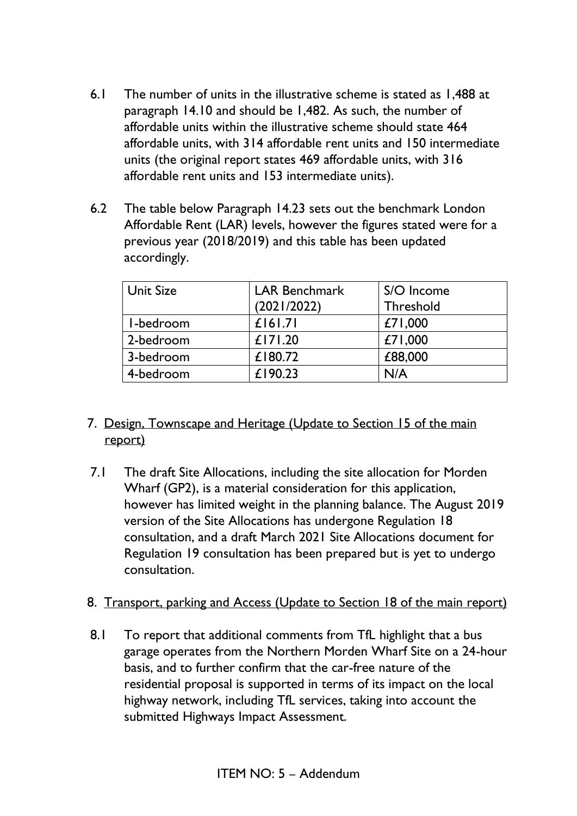- 6.1 The number of units in the illustrative scheme is stated as 1,488 at paragraph 14.10 and should be 1,482. As such, the number of affordable units within the illustrative scheme should state 464 affordable units, with 314 affordable rent units and 150 intermediate units (the original report states 469 affordable units, with 316 affordable rent units and 153 intermediate units).
- 6.2 The table below Paragraph 14.23 sets out the benchmark London Affordable Rent (LAR) levels, however the figures stated were for a previous year (2018/2019) and this table has been updated accordingly.

| <b>Unit Size</b> | <b>LAR Benchmark</b> | S/O Income |
|------------------|----------------------|------------|
|                  | (2021/2022)          | Threshold  |
| I-bedroom        | £ 6 .7               | £71,000    |
| 2-bedroom        | £171.20              | £71,000    |
| 3-bedroom        | $£$  80.72           | £88,000    |
| 4-bedroom        | £190.23              | N/A        |

- 7. Design, Townscape and Heritage (Update to Section 15 of the main report)
- 7.1 The draft Site Allocations, including the site allocation for Morden Wharf (GP2), is a material consideration for this application, however has limited weight in the planning balance. The August 2019 version of the Site Allocations has undergone Regulation 18 consultation, and a draft March 2021 Site Allocations document for Regulation 19 consultation has been prepared but is yet to undergo consultation.
- 8. Transport, parking and Access (Update to Section 18 of the main report)
- 8.1 To report that additional comments from TfL highlight that a bus garage operates from the Northern Morden Wharf Site on a 24-hour basis, and to further confirm that the car-free nature of the residential proposal is supported in terms of its impact on the local highway network, including TfL services, taking into account the submitted Highways Impact Assessment.